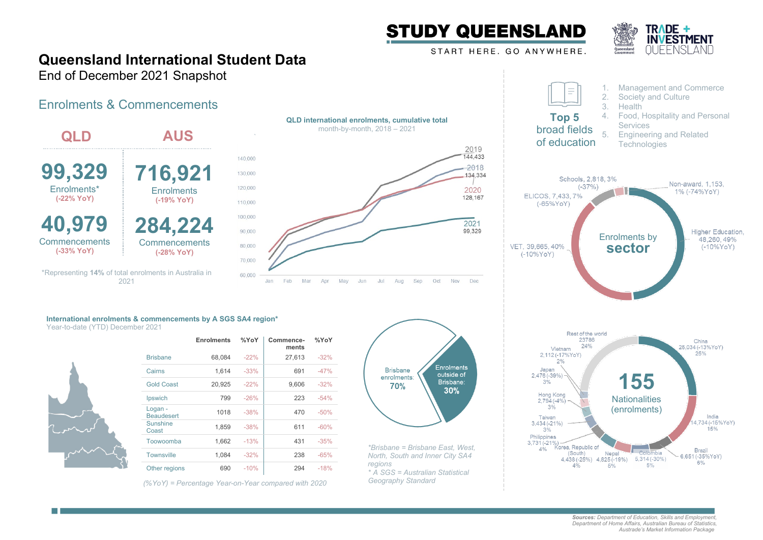

START HERE. GO ANYWHERE.



## **Queensland International Student Data**

End of December 2021 Snapshot

## Enrolments & Commencements

| <b>QLD</b>                          | <b>AUS</b>                                                    |                                          | month-by-mo       |
|-------------------------------------|---------------------------------------------------------------|------------------------------------------|-------------------|
| 99,329<br>Enrolments*<br>(-22% YoY) | 716,921<br><b>Enrolments</b><br>(-19% YoY)                    | 140,000<br>130,000<br>120,000<br>110,000 |                   |
| 40,979                              | 284,224                                                       | 100,000<br>90,000                        |                   |
| Commencements<br>$(-33% YoY)$       | Commencements<br>(-28% YoY)                                   | 80,000<br>70,000                         |                   |
|                                     | *Representing 14% of total enrolments in Australia in<br>2021 | 60,000<br>Feb<br>Jan                     | Mar<br>Apr<br>May |





## **International enrolments & commencements by A SGS SA4 region\*** Year-to-date (YTD) December 2021



|                              | <b>Enrolments</b> | %YoY   | Commence-<br>ments | %YoY   |
|------------------------------|-------------------|--------|--------------------|--------|
| <b>Brisbane</b>              | 68,084            | $-22%$ | 27,613             | $-32%$ |
| Cairns                       | 1,614             | $-33%$ | 691                | $-47%$ |
| <b>Gold Coast</b>            | 20,925            | $-22%$ | 9,606              | $-32%$ |
| Ipswich                      | 799               | $-26%$ | 223                | $-54%$ |
| Logan -<br><b>Beaudesert</b> | 1018              | $-38%$ | 470                | $-50%$ |
| <b>Sunshine</b><br>Coast     | 1,859             | $-38%$ | 611                | $-60%$ |
| Toowoomba                    | 1.662             | $-13%$ | 431                | $-35%$ |
| <b>Townsville</b>            | 1,084             | $-32%$ | 238                | $-65%$ |
| Other regions                | 690               | $-10%$ | 294                | $-18%$ |

*(%YoY) = Percentage Year-on-Year compared with 2020*



*\*Brisbane = Brisbane East, West, North, South and Inner City SA4 regions \* A SGS = Australian Statistical Geography Standard*